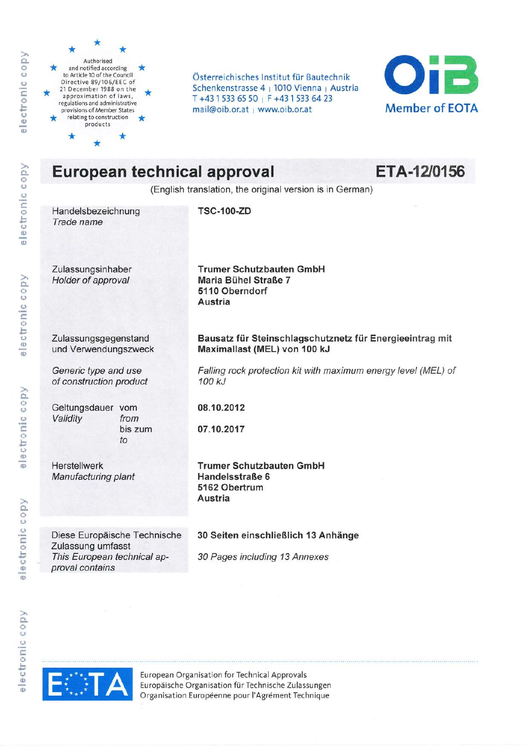

electronic copy

electronic copy

electronic copy

electronic copy

Authorised and notified according to Article 10 of the Council Directive 89/106/EEC of 21 December 1988 on the approximation of laws, regulations and administrative provisions of Member States relating to construction products

Österreichisches Institut für Bautechnik Schenkenstrasse 4 | 1010 Vienna | Austria T+4315336550 | F+4315336423 mail@oib.or.at | www.oib.or.at



# **European technical approval**

ETA-12/0156

(English translation, the original version is in German)

Handelsbezeichnung Trade name

**TSC-100-ZD** 

Zulassungsinhaber Holder of approval

**Trumer Schutzbauten GmbH** Maria Bühel Straße 7 5110 Oberndorf Austria

Maximallast (MEL) von 100 kJ

Bausatz für Steinschlagschutznetz für Energieeintrag mit

Falling rock protection kit with maximum energy level (MEL) of

Zulassungsgegenstand und Verwendungszweck

Generic type and use of construction product

Geltungsdauer vom Validity from bis zum to

08.10.2012

100 kJ

07.10.2017

Herstellwerk **Manufacturing plant**  **Trumer Schutzbauten GmbH** Handelsstraße 6 5162 Obertrum Austria

Diese Europäische Technische Zulassung umfasst This European technical approval contains

#### 30 Seiten einschließlich 13 Anhänge

30 Pages including 13 Annexes



European Organisation for Technical Approvals Europäische Organisation für Technische Zulassungen Organisation Européenne pour l'Agrément Technique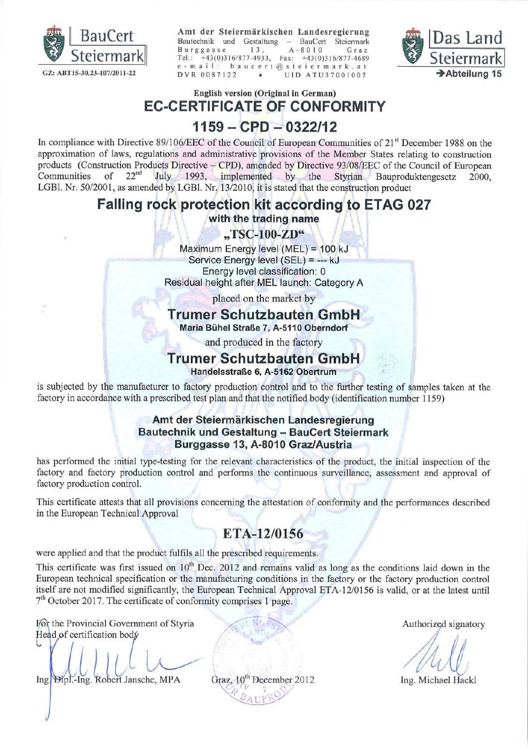

Amt der Steiermärkischen Landesregierung Bautechnik und Gestaltung - BauCert Steiermark  $A - 8010$ Burggasse  $13.$ Graz Tel.:  $+43(0)316/877-4933$ . Fax:  $+43(0)316/877-4689$ e-mail: baucert@steiermark.at DVR 0087122 UID ATU37001007



English version (Original in German)

**EC-CERTIFICATE OF CONFORMITY** 

### $1159 - CPD - 0322/12$

In compliance with Directive 89/106/EEC of the Council of European Communities of 21<sup>st</sup> December 1988 on the approximation of laws, regulations and administrative provisions of the Member States relating to construction products (Construction Products Directive – CPD), amended by Directive 93/08/EEC of the Council of European  $22<sup>nd</sup>$ of July 1993, implemented by the Styrian Bauproduktengesetz Communities 2000. LGBl. Nr. 50/2001, as amended by LGBl. Nr. 13/2010, it is stated that the construction product

### Falling rock protection kit according to ETAG 027

#### with the trading name

"TSC-100-ZD"

Maximum Energy level (MEL) = 100 kJ Service Energy level (SEL) = --- kJ Energy level classification: 0 Residual height after MEL launch: Category A

placed on the market by

### Trumer Schutzbauten GmbH

Maria Bühel Straße 7, A-5110 Oberndorf

and produced in the factory

# Trumer Schutzbauten GmbH

Handelsstraße 6. A-5162 Obertrum

is subjected by the manufacturer to factory production control and to the further testing of samples taken at the factory in accordance with a prescribed test plan and that the notified body (identification number 1159)

#### Amt der Steiermärkischen Landesregierung **Bautechnik und Gestaltung - BauCert Steiermark** Burggasse 13, A-8010 Graz/Austria

has performed the initial type-testing for the relevant characteristics of the product, the initial inspection of the factory and factory production control and performs the continuous surveillance, assessment and approval of factory production control.

This certificate attests that all provisions concerning the attestation of conformity and the performances described in the European Technical Approval

# ETA-12/0156

were applied and that the product fulfils all the prescribed requirements.

This certificate was first issued on 10<sup>th</sup> Dec. 2012 and remains valid as long as the conditions laid down in the European technical specification or the manufacturing conditions in the factory or the factory production control itself are not modified significantly, the European Technical Approval ETA-12/0156 is valid, or at the latest until  $7<sup>th</sup>$  October 2017. The certificate of conformity comprises 1 page.

For the Provincial Government of Styria Head of certification body

Ing Dipl.-Ing. Robert Jansche, MPA

Graz, 10<sup>th</sup> December 2012

Authorized signatory

Ing. Michael Hackl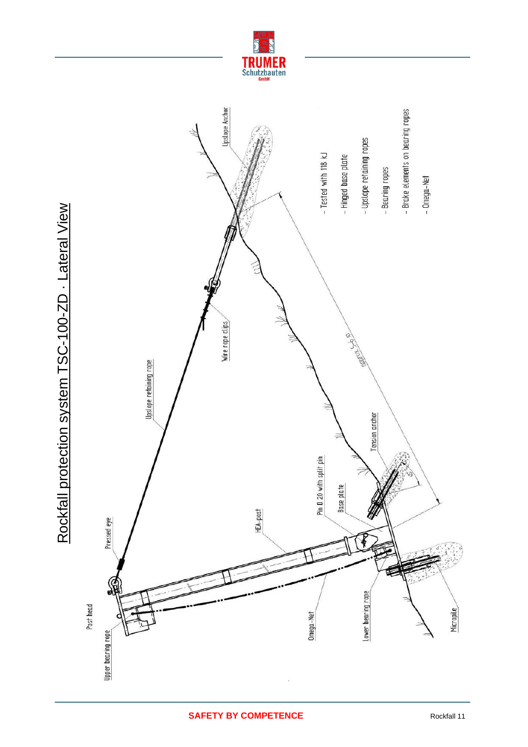